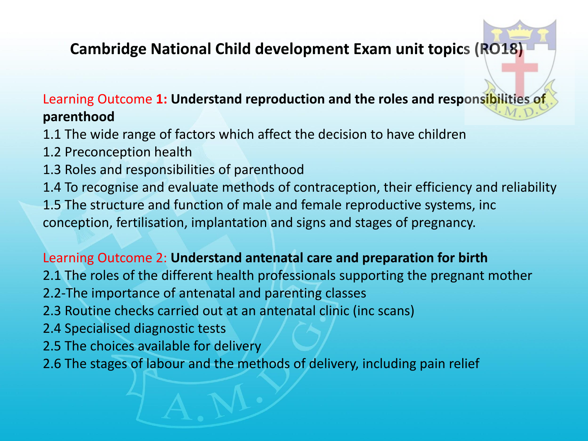# **Cambridge National Child development Exam unit topics (RO18)**

## Learning Outcome **1: Understand reproduction and the roles and responsibilities of parenthood**

- 1.1 The wide range of factors which affect the decision to have children
- 1.2 Preconception health
- 1.3 Roles and responsibilities of parenthood
- 1.4 To recognise and evaluate methods of contraception, their efficiency and reliability 1.5 The structure and function of male and female reproductive systems, inc conception, fertilisation, implantation and signs and stages of pregnancy.

### Learning Outcome 2: **Understand antenatal care and preparation for birth**

- 2.1 The roles of the different health professionals supporting the pregnant mother
- 2.2-The importance of antenatal and parenting classes
- 2.3 Routine checks carried out at an antenatal clinic (inc scans)
- 2.4 Specialised diagnostic tests
- 2.5 The choices available for delivery
- 2.6 The stages of labour and the methods of delivery, including pain relief